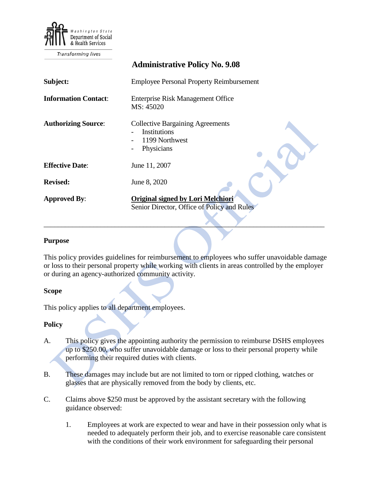

Transforming lives

|                             | <b>Administrative Policy No. 9.08</b>                                                          |
|-----------------------------|------------------------------------------------------------------------------------------------|
| Subject:                    | <b>Employee Personal Property Reimbursement</b>                                                |
| <b>Information Contact:</b> | <b>Enterprise Risk Management Office</b><br>MS: 45020                                          |
| <b>Authorizing Source:</b>  | <b>Collective Bargaining Agreements</b><br><b>Institutions</b><br>1199 Northwest<br>Physicians |
| <b>Effective Date:</b>      | June 11, 2007                                                                                  |
| <b>Revised:</b>             | June 8, 2020                                                                                   |
| <b>Approved By:</b>         | <b>Original signed by Lori Melchiori</b><br>Senior Director, Office of Policy and Rules        |

## **Purpose**

This policy provides guidelines for reimbursement to employees who suffer unavoidable damage or loss to their personal property while working with clients in areas controlled by the employer or during an agency-authorized community activity.

\_\_\_\_\_\_\_\_\_\_\_\_\_\_\_\_\_\_\_\_\_\_\_\_\_\_\_\_\_\_\_\_\_\_\_\_\_\_\_\_\_\_\_\_\_\_\_\_\_\_\_\_\_\_\_\_\_\_\_\_\_\_\_\_\_\_\_\_\_\_\_\_\_\_\_\_\_\_\_

## **Scope**

This policy applies to all department employees.

## **Policy**

- A. This policy gives the appointing authority the permission to reimburse DSHS employees up to \$250.00, who suffer unavoidable damage or loss to their personal property while performing their required duties with clients.
- B. These damages may include but are not limited to torn or ripped clothing, watches or glasses that are physically removed from the body by clients, etc.
- C. Claims above \$250 must be approved by the assistant secretary with the following guidance observed:
	- 1. Employees at work are expected to wear and have in their possession only what is needed to adequately perform their job, and to exercise reasonable care consistent with the conditions of their work environment for safeguarding their personal